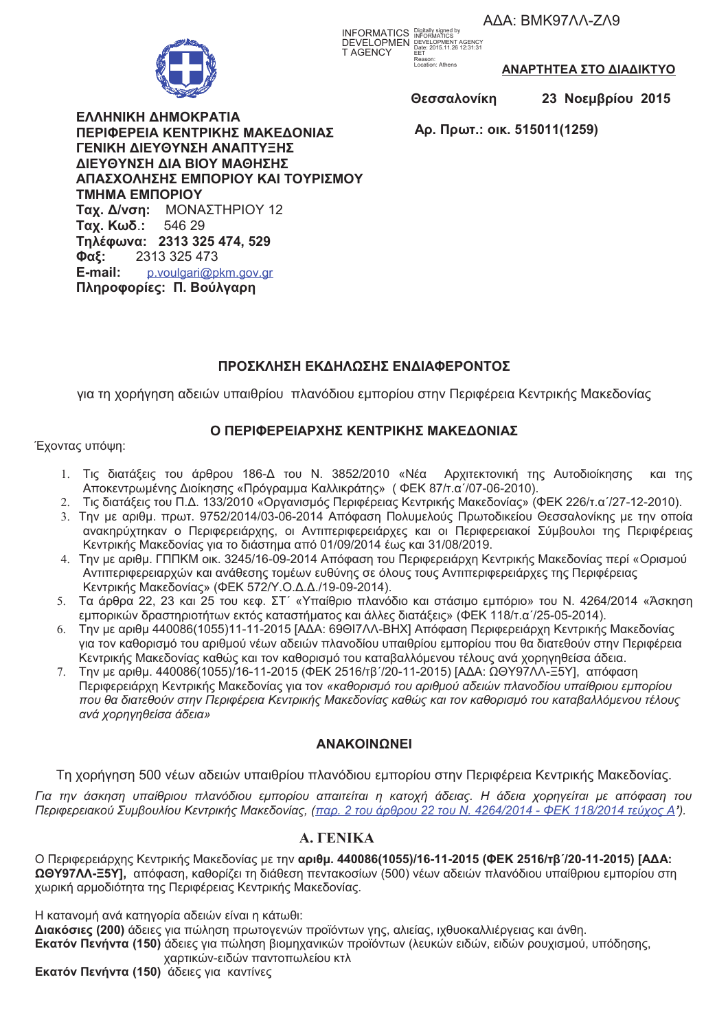AAA: BMK97AA-ZA9



**INFORMATICS** Digitally signed by<br>DEVELOPMEN DEVELOPMENT AGENCY<br>T AGENCY Date: 2015.11.26 12:31:31 Date: 2015.11.20<br>EET<br>Reason:<br>Location: Athens

ΑΝΑΡΤΗΤΕΑ ΣΤΟ ΔΙΑΔΙΚΤΥΟ

Θεσσαλονίκη

23 Νοεμβρίου 2015

ΕΛΛΗΝΙΚΗ ΔΗΜΟΚΡΑΤΙΑ ΠΕΡΙΦΕΡΕΙΑ ΚΕΝΤΡΙΚΗΣ ΜΑΚΕΔΟΝΙΑΣ ΓΕΝΙΚΗ ΔΙΕΥΘΥΝΣΗ ΑΝΑΠΤΥΞΗΣ ΔΙΕΥΘΥΝΣΗ ΔΙΑ ΒΙΟΥ ΜΑΘΗΣΗΣ ΑΠΑΣΧΟΛΗΣΗΣ ΕΜΠΟΡΙΟΥ ΚΑΙ ΤΟΥΡΙΣΜΟΥ **TMHMA EMNOPIOY** Ταχ. Δ/νση: ΜΟΝΑΣΤΗΡΙΟΥ 12 Ταχ. Κωδ.: 546 29 Τηλέφωνα: 2313 325 474, 529 Φαξ: 2313 325 473 E-mail: p.voulgari@pkm.gov.gr Πληροφορίες: Π. Βούλγαρη

Αρ. Πρωτ.: οικ. 515011(1259)

# ΠΡΟΣΚΛΗΣΗ ΕΚΔΗΛΩΣΗΣ ΕΝΔΙΑΦΕΡΟΝΤΟΣ

για τη χορήγηση αδειών υπαιθρίου πλανόδιου εμπορίου στην Περιφέρεια Κεντρικής Μακεδονίας

### Ο ΠΕΡΙΦΕΡΕΙΑΡΧΗΣ ΚΕΝΤΡΙΚΗΣ ΜΑΚΕΔΟΝΙΑΣ

Έχοντας υπόψη:

- 1. Τις διατάξεις του άρθρου 186-Δ του Ν. 3852/2010 «Νέα Αρχιτεκτονική της Αυτοδιοίκησης και της Αποκεντρωμένης Διοίκησης «Πρόγραμμα Καλλικράτης» (ΦΕΚ 87/τ.α'/07-06-2010).
- 2. Τις διατάξεις του Π.Δ. 133/2010 «Οργανισμός Περιφέρειας Κεντρικής Μακεδονίας» (ΦΕΚ 226/τ.α /27-12-2010).
- 3. Την με αριθμ. πρωτ. 9752/2014/03-06-2014 Απόφαση Πολυμελούς Πρωτοδικείου Θεσσαλονίκης με την οποία ανακηρύχτηκαν ο Περιφερειάρχης, οι Αντιπεριφερειάρχες και οι Περιφερειακοί Σύμβουλοι της Περιφέρειας Κεντρικής Μακεδονίας για το διάστημα από 01/09/2014 έως και 31/08/2019.
- 4. Την με αριθμ. ΓΠΠΚΜ οικ. 3245/16-09-2014 Απόφαση του Περιφερειάρχη Κεντρικής Μακεδονίας περί «Ορισμού Αντιπεριφερειαρχών και ανάθεσης τομέων ευθύνης σε όλους τους Αντιπεριφερειάρχες της Περιφέρειας Κεντρικής Μακεδονίας» (ΦΕΚ 572/Υ.Ο.Δ.Δ./19-09-2014).
- 5. Τα άρθρα 22, 23 και 25 του κεφ. ΣΤ΄ «Υπαίθριο πλανόδιο και στάσιμο εμπόριο» του Ν. 4264/2014 «Άσκηση εμπορικών δραστηριοτήτων εκτός καταστήματος και άλλες διατάξεις» (ΦΕΚ 118/τ.α /25-05-2014).
- 6. Την με αριθμ 440086(1055)11-11-2015 [ΑΔΑ: 69ΘΙΖΛΛ-ΒΗΧ] Απόφαση Περιφερειάρχη Κεντρικής Μακεδονίας για τον καθορισμό του αριθμού νέων αδειών πλανοδίου υπαιθρίου εμπορίου που θα διατεθούν στην Περιφέρεια Κεντρικής Μακεδονίας καθώς και τον καθορισμό του καταβαλλόμενου τέλους ανά χορηγηθείσα άδεια.
- Την με αριθμ. 440086(1055)/16-11-2015 (ΦΕΚ 2516/τβ'/20-11-2015) [ΑΔΑ: ΩΘΥ97ΛΛ-Ξ5Υ], απόφαση 7. Περιφερειάρχη Κεντρικής Μακεδονίας για τον «καθορισμό του αριθμού αδειών πλανοδίου υπαίθριου εμπορίου που θα διατεθούν στην Περιφέρεια Κεντρικής Μακεδονίας καθώς και τον καθορισμό του καταβαλλόμενου τέλους ανά χορηγηθείσα άδεια»

## **ANAKOINQNEI**

Τη χορήγηση 500 νέων αδειών υπαιθρίου πλανόδιου εμπορίου στην Περιφέρεια Κεντρικής Μακεδονίας.

Για την άσκηση υπαίθριου πλανόδιου εμπορίου απαιτείται η κατοχή άδειας. Η άδεια χορηγείται με απόφαση του Περιφερειακού Συμβουλίου Κεντρικής Μακεδονίας, (παρ. 2 του άρθρου 22 του Ν. 4264/2014 - ΦΕΚ 118/2014 τεύχος Α').

# **A. FENIKA**

Ο Περιφερειάρχης Κεντρικής Μακεδονίας με την αριθμ. 440086(1055)/16-11-2015 (ΦΕΚ 2516/τβ'/20-11-2015) [ΑΔΑ: ΩΘΥ97ΛΛ-Ξ5Υ], απόφαση, καθορίζει τη διάθεση πεντακοσίων (500) νέων αδειών πλανόδιου υπαίθριου εμπορίου στη χωρική αρμοδιότητα της Περιφέρειας Κεντρικής Μακεδονίας.

Η κατανομή ανά κατηγορία αδειών είναι η κάτωθι: Διακόσιες (200) άδειες για πώληση πρωτογενών προϊόντων γης, αλιείας, ιχθυοκαλλιέργειας και άνθη. Εκατόν Πενήντα (150) άδειες για πώληση βιομηχανικών προϊόντων (λευκών ειδών, ειδών ρουχισμού, υπόδησης, χαρτικών-ειδών παντοπωλείου κτλ

Εκατόν Πενήντα (150) άδειες για καντίνες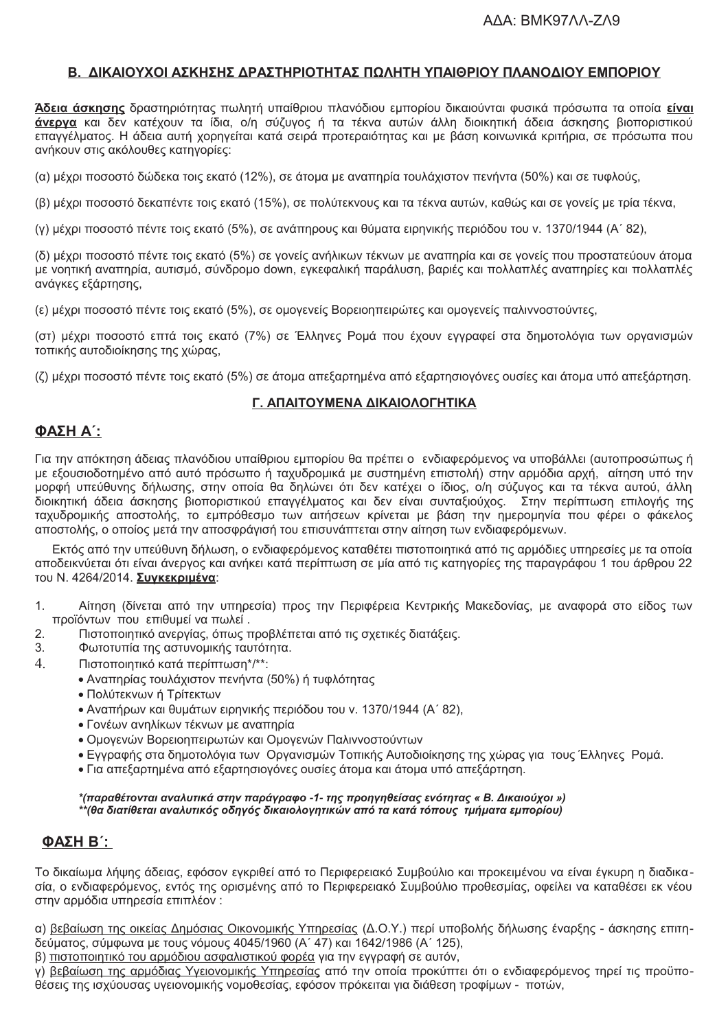### Β. ΔΙΚΑΙΟΥΧΟΙ ΑΣΚΗΣΗΣ ΔΡΑΣΤΗΡΙΟΤΗΤΑΣ ΠΩΛΗΤΗ ΥΠΑΙΘΡΙΟΥ ΠΛΑΝΟΔΙΟΥ ΕΜΠΟΡΙΟΥ

Άδεια άσκησης δραστηριότητας πωλητή υπαίθριου πλανόδιου εμπορίου δικαιούνται φυσικά πρόσωπα τα οποία είναι άνεργα και δεν κατέχουν τα ίδια, ο/η σύζυγος ή τα τέκνα αυτών άλλη διοικητική άδεια άσκησης βιοποριστικού επαγγέλματος. Η άδεια αυτή χορηγείται κατά σειρά προτεραιότητας και με βάση κοινωνικά κριτήρια, σε πρόσωπα που ανήκουν στις ακόλουθες κατηγορίες:

(α) μέχρι ποσοστό δώδεκα τοις εκατό (12%), σε άτομα με αναπηρία τουλάχιστον πενήντα (50%) και σε τυφλούς,

(β) μέχρι ποσοστό δεκαπέντε τοις εκατό (15%), σε πολύτεκνους και τα τέκνα αυτών, καθώς και σε γονείς με τρία τέκνα,

(ν) μέχρι ποσοστό πέντε τοις εκατό (5%), σε ανάπηρους και θύματα ειρηνικής περιόδου του ν. 1370/1944 (Α΄ 82).

(δ) μέχρι ποσοστό πέντε τοις εκατό (5%) σε γονείς ανήλικων τέκνων με αναπηρία και σε γονείς που προστατεύουν άτομα με νοητική αναπηρία, αυτισμό, σύνδρομο down, εγκεφαλική παράλυση, βαριές και πολλαπλές αναπηρίες και πολλαπλές ανάγκες εξάρτησης,

(ε) μέχρι ποσοστό πέντε τοις εκατό (5%), σε ομονενείς Βορειοηπειρώτες και ομονενείς παλιννοστούντες.

(στ) μέχρι ποσοστό επτά τοις εκατό (7%) σε Έλληνες Ρομά που έχουν εγγραφεί στα δημοτολόγια των οργανισμών τοπικής αυτοδιοίκησης της χώρας,

(ζ) μέχρι ποσοστό πέντε τοις εκατό (5%) σε άτομα απεξαρτημένα από εξαρτησιογόνες ουσίες και άτομα υπό απεξάρτηση.

#### Γ. ΑΠΑΙΤΟΥΜΕΝΑ ΔΙΚΑΙΟΛΟΓΗΤΙΚΑ

### ΦΑΣΗ Α΄:

Για την απόκτηση άδειας πλανόδιου υπαίθριου εμπορίου θα πρέπει ο ενδιαφερόμενος να υποβάλλει (αυτοπροσώπως ή με εξουσιοδοτημένο από αυτό πρόσωπο ή ταχυδρομικά με συστημένη επιστολή) στην αρμόδια αρχή, αίτηση υπό την μορφή υπεύθυνης δήλωσης, στην οποία θα δηλώνει ότι δεν κατέχει ο ίδιος, ο/η σύζυγος και τα τέκνα αυτού, άλλη διοικητική άδεια άσκησης βιοποριστικού επαγγέλματος και δεν είναι συνταξιούχος. Στην περίπτωση επιλογής της ταχυδρομικής αποστολής, το εμπρόθεσμο των αιτήσεων κρίνεται με βάση την ημερομηνία που φέρει ο φάκελος αποστολής, ο οποίος μετά την αποσφράγισή του επισυνάπτεται στην αίτηση των ενδιαφερόμενων.

Εκτός από την υπεύθυνη δήλωση, ο ενδιαφερόμενος καταθέτει πιστοποιητικά από τις αρμόδιες υπηρεσίες με τα οποία αποδεικνύεται ότι είναι άνερνος και ανήκει κατά περίπτωση σε μία από τις κατηγορίες της παραγράφου 1 του άρθρου 22 του Ν. 4264/2014. Συνκεκριμένα:

- Αίτηση (δίνεται από την υπηρεσία) προς την Περιφέρεια Κεντρικής Μακεδονίας, με αναφορά στο είδος των  $1.$ προϊόντων που επιθυμεί να πωλεί.
- 2. Πιστοποιητικό ανεργίας, όπως προβλέπεται από τις σχετικές διατάξεις.
- 3. Φωτοτυπία της αστυνομικής ταυτότητα.
- $\overline{4}$ . Πιστοποιητικό κατά περίπτωση\*/\*\*:
	- Αναπηρίας τουλάχιστον πενήντα (50%) ή τυφλότητας
		- Πολύτεκνων ή Τρίτεκτων
		- Αναπήρων και θυμάτων ειρηνικής περιόδου του ν. 1370/1944 (Α' 82).
		- Γονέων ανηλίκων τέκνων με αναπηρία
		- · Ομογενών Βορειοηπειρωτών και Ομογενών Παλιννοστούντων
		- · Εννραφής στα δημοτολόγια των Οργανισμών Τοπικής Αυτοδιοίκησης της χώρας για τους Έλληνες Ρομά.
		- Για απεξαρτημένα από εξαρτησιογόνες ουσίες άτομα και άτομα υπό απεξάρτηση.

\*(παραθέτονται αναλυτικά στην παράγραφο -1- της προηγηθείσας ενότητας « Β. Δικαιούχοι ») \*\*(θα διατίθεται αναλυτικός οδηγός δικαιολογητικών από τα κατά τόπους τμήματα εμπορίου)

### **ΦΑΣΗ Β΄:**

Το δικαίωμα λήψης άδειας, εφόσον εγκριθεί από το Περιφερειακό Συμβούλιο και προκειμένου να είναι έγκυρη η διαδικασία, ο ενδιαφερόμενος, εντός της ορισμένης από το Περιφερειακό Συμβούλιο προθεσμίας, οφείλει να καταθέσει εκ νέου στην αρμόδια υπηρεσία επιπλέον:

α) βεβαίωση της οικείας Δημόσιας Οικονομικής Υπηρεσίας (Δ.Ο.Υ.) περί υποβολής δήλωσης έναρξης - άσκησης επιτηδεύματος, σύμφωνα με τους νόμους 4045/1960 (Α' 47) και 1642/1986 (Α' 125),

β) πιστοποιητικό του αρμόδιου ασφαλιστικού φορέα για την εγγραφή σε αυτόν,

γ) βεβαίωση της αρμόδιας Υγειονομικής Υπηρεσίας από την οποία προκύπτει ότι ο ενδιαφερόμενος τηρεί τις προϋποθέσεις της ισχύουσας υνειονομικής νομοθεσίας, εφόσον πρόκειται νια διάθεση τροφίμων - ποτών,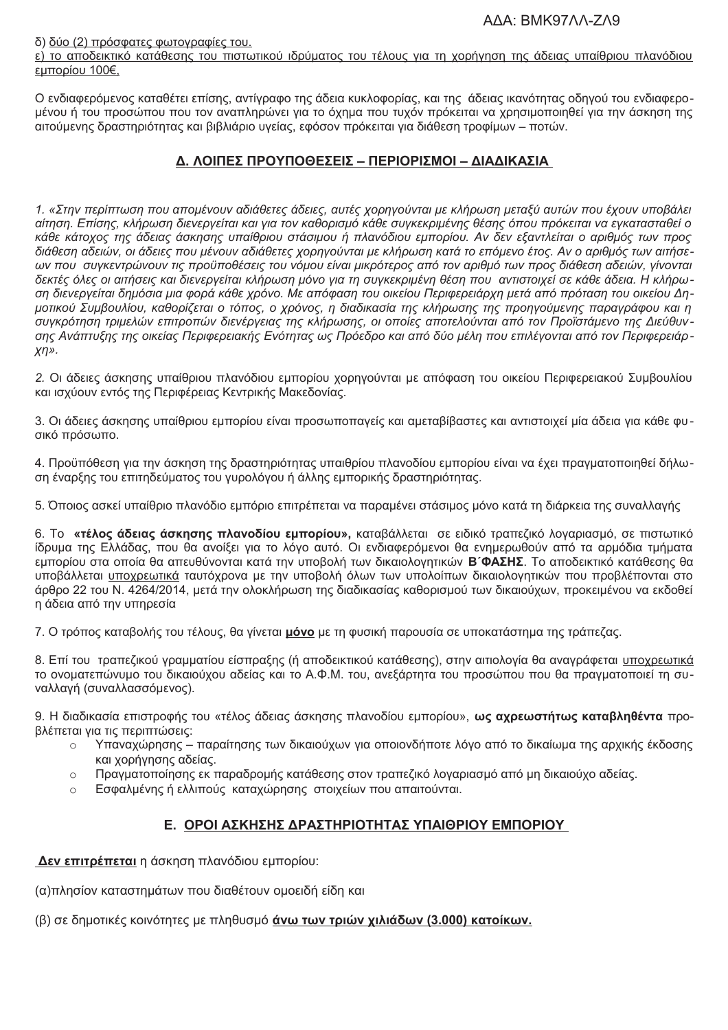δ) δύο (2) πρόσφατες φωτονραφίες του.

ε) το αποδεικτικό κατάθεσης του πιστωτικού ιδρύματος του τέλους για τη χορήγηση της άδειας υπαίθριου πλανόδιου εμπορίου 100€.

Ο ενδιαφερόμενος καταθέτει επίσης, αντίγραφο της άδεια κυκλοφορίας, και της άδειας ικανότητας οδηγού του ενδιαφερομένου ή του προσώπου που τον αναπληρώνει για το όχημα που τυχόν πρόκειται να χρησιμοποιηθεί για την άσκηση της αιτούμενης δραστηριότητας και βιβλιάριο υγείας, εφόσον πρόκειται για διάθεση τροφίμων – ποτών.

### Δ. ΛΟΙΠΕΣ ΠΡΟΥΠΟΘΕΣΕΙΣ – ΠΕΡΙΟΡΙΣΜΟΙ – ΔΙΑΔΙΚΑΣΙΑ

1. «Στην περίπτωση που απομένουν αδιάθετες άδειες, αυτές χορηγούνται με κλήρωση μεταξύ αυτών που έχουν υποβάλει αίτηση. Επίσης, κλήρωση διενεργείται και για τον καθορισμό κάθε συγκεκριμένης θέσης όπου πρόκειται να εγκατασταθεί ο κάθε κάτοχος της άδειας άσκησης υπαίθριου στάσιμου ή πλανόδιου εμπορίου. Αν δεν εξαντλείται ο αριθμός των προς διάθεση αδειών, οι άδειες που μένουν αδιάθετες χορηγούνται με κλήρωση κατά το επόμενο έτος. Αν ο αριθμός των αιτήσεων που συγκεντρώνουν τις προϋποθέσεις του νόμου είναι μικρότερος από τον αριθμό των προς διάθεση αδειών, γίνονται δεκτές όλες οι αιτήσεις και διενεργείται κλήρωση μόνο για τη συγκεκριμένη θέση που αντιστοιχεί σε κάθε άδεια. Η κλήρωση διενεργείται δημόσια μια φορά κάθε χρόνο. Με απόφαση του οικείου Περιφερειάρχη μετά από πρόταση του οικείου Δημοτικού Συμβουλίου, καθορίζεται ο τόπος, ο χρόνος, η διαδικασία της κλήρωσης της προηγούμενης παραγράφου και η συγκρότηση τριμελών επιτροπών διενέργειας της κλήρωσης, οι οποίες αποτελούνται από τον Προϊστάμενο της Διεύθυνσης Ανάπτυξης της οικείας Περιφερειακής Ενότητας ως Πρόεδρο και από δύο μέλη που επιλέγονται από τον Περιφερειάρ- $X/\gamma$ .

2. Οι άδειες άσκησης υπαίθριου πλανόδιου εμπορίου χορηγούνται με απόφαση του οικείου Περιφερειακού Συμβουλίου και ισχύουν εντός της Περιφέρειας Κεντρικής Μακεδονίας.

3. Οι άδειες άσκησης υπαίθριου εμπορίου είναι προσωποπαγείς και αμεταβίβαστες και αντιστοιχεί μία άδεια για κάθε φυσικό πρόσωπο.

4. Προϋπόθεση για την άσκηση της δραστηριότητας υπαιθρίου πλανοδίου εμπορίου είναι να έχει πραγματοποιηθεί δήλωση έναρξης του επιτηδεύματος του γυρολόγου ή άλλης εμπορικής δραστηριότητας.

5. Όποιος ασκεί υπαίθριο πλανόδιο εμπόριο επιτρέπεται να παραμένει στάσιμος μόνο κατά τη διάρκεια της συναλλαγής

6. Το «τέλος άδειας άσκησης πλανοδίου εμπορίου», καταβάλλεται σε ειδικό τραπεζικό λογαριασμό, σε πιστωτικό ίδρυμα της Ελλάδας, που θα ανοίξει για το λόγο αυτό. Οι ενδιαφερόμενοι θα ενημερωθούν από τα αρμόδια τμήματα εμπορίου στα οποία θα απευθύνονται κατά την υποβολή των δικαιολογητικών Β'ΦΑΣΗΣ. Το αποδεικτικό κατάθεσης θα υποβάλλεται υποχρεωτικά ταυτόχρονα με την υποβολή όλων των υπολοίπων δικαιολογητικών που προβλέπονται στο άρθρο 22 του Ν. 4264/2014, μετά την ολοκλήρωση της διαδικασίας καθορισμού των δικαιούχων, προκειμένου να εκδοθεί η άδεια από την υπηρεσία

7. Ο τρόπος καταβολής του τέλους, θα γίνεται μόνο με τη φυσική παρουσία σε υποκατάστημα της τράπεζας.

8. Επί του τραπεζικού γραμματίου είσπραξης (ή αποδεικτικού κατάθεσης), στην αιτιολογία θα αναγράφεται υποχρεωτικά το ονοματεπώνυμο του δικαιούχου αδείας και το Α.Φ.Μ. του, ανεξάρτητα του προσώπου που θα πραγματοποιεί τη συναλλαγή (συναλλασσόμενος).

9. Η διαδικασία επιστροφής του «τέλος άδειας άσκησης πλανοδίου εμπορίου», ως αχρεωστήτως καταβληθέντα προβλέπεται για τις περιπτώσεις:

- Υπαναχώρησης παραίτησης των δικαιούχων νια οποιονδήποτε λόνο από το δικαίωμα της αρχικής έκδοσης  $\circ$ και χορήγησης αδείας.
- Πραγματοποίησης εκ παραδρομής κατάθεσης στον τραπεζικό λογαριασμό από μη δικαιούχο αδείας.  $\circ$
- Εσφαλμένης ή ελλιπούς καταχώρησης στοιχείων που απαιτούνται.  $\bigcap$

## Ε. ΟΡΟΙ ΑΣΚΗΣΗΣ ΔΡΑΣΤΗΡΙΟΤΗΤΑΣ ΥΠΑΙΘΡΙΟΥ ΕΜΠΟΡΙΟΥ

Δεν επιτρέπεται η άσκηση πλανόδιου εμπορίου:

(α) πλησίον καταστημάτων που διαθέτουν ομοειδή είδη και

(β) σε δημοτικές κοινότητες με πληθυσμό άνω των τριών χιλιάδων (3.000) κατοίκων.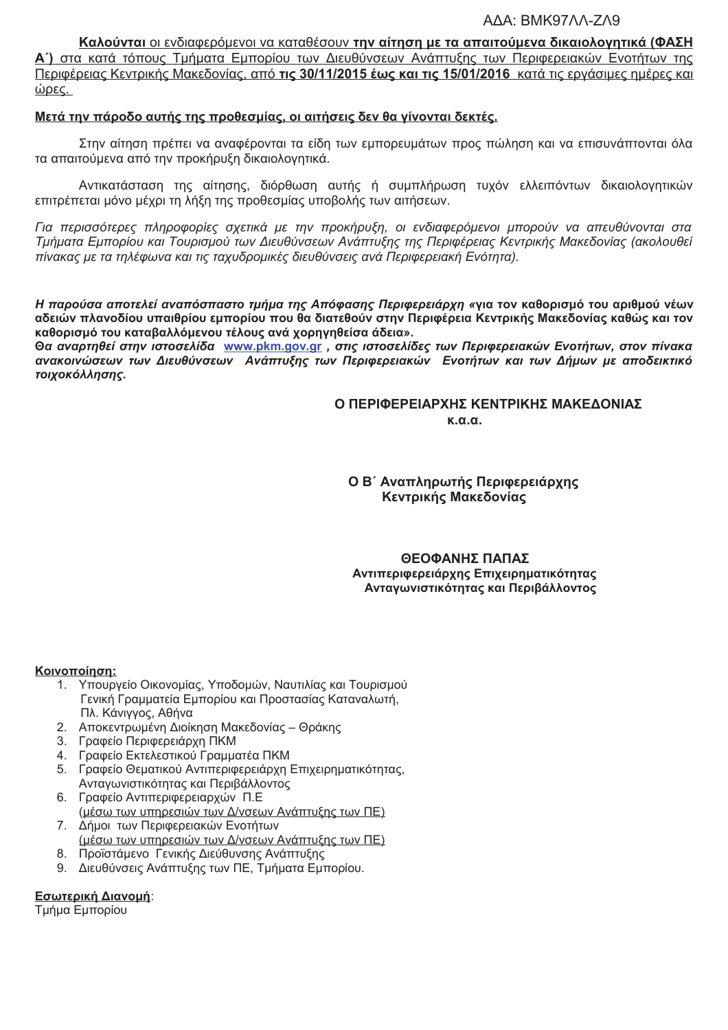#### AAA: BMK97AA-ZA9

Καλούνται οι ενδιαφερόμενοι να καταθέσουν την αίτηση με τα απαιτούμενα δικαιολογητικά (ΦΑΣΗ Α΄) στα κατά τόπους Τμήματα Εμπορίου των Διευθύνσεων Ανάπτυξης των Περιφερειακών Ενοτήτων της Περιφέρειας Κεντρικής Μακεδονίας, από τις 30/11/2015 έως και τις 15/01/2016 κατά τις εργάσιμες ημέρες και ώρες.

#### Μετά την πάροδο αυτής της προθεσμίας, οι αιτήσεις δεν θα γίνονται δεκτές.

Στην αίτηση πρέπει να αναφέρονται τα είδη των εμπορευμάτων προς πώληση και να επισυνάπτονται όλα τα απαιτούμενα από την προκήρυξη δικαιολογητικά.

Αντικατάσταση της αίτησης, διόρθωση αυτής ή συμπλήρωση τυχόν ελλειπόντων δικαιολογητικών επιτρέπεται μόνο μέχρι τη λήξη της προθεσμίας υποβολής των αιτήσεων.

Για περισσότερες πληροφορίες σχετικά με την προκήρυξη, οι ενδιαφερόμενοι μπορούν να απευθύνονται στα Τμήματα Εμπορίου και Τουρισμού των Διευθύνσεων Ανάπτυξης της Περιφέρειας Κεντρικής Μακεδονίας (ακολουθεί πίνακας με τα τηλέφωνα και τις ταχυδρομικές διευθύνσεις ανά Περιφερειακή Ενότητα).

Η παρούσα αποτελεί αναπόσπαστο τμήμα της Απόφασης Περιφερειάρχη «για τον καθορισμό του αριθμού νέων αδειών πλανοδίου υπαιθρίου εμπορίου που θα διατεθούν στην Περιφέρεια Κεντρικής Μακεδονίας καθώς και τον καθορισμό του καταβαλλόμενου τέλους ανά χορηνηθείσα άδεια».

Θα αναρτηθεί στην ιστοσελίδα www.pkm.gov.gr, στις ιστοσελίδες των Περιφερειακών Ενοτήτων, στον πίνακα ανακοινώσεων των Διευθύνσεων Ανάπτυξης των Περιφερειακών Ενοτήτων και των Δήμων με αποδεικτικό τοιχοκόλλησης.

#### Ο ΠΕΡΙΦΕΡΕΙΑΡΧΗΣ ΚΕΝΤΡΙΚΗΣ ΜΑΚΕΔΟΝΙΑΣ  $K. \alpha. \alpha$ .

Ο Β΄ Αναπληρωτής Περιφερειάρχης Κεντρικής Μακεδονίας

#### ΘΕΟΦΑΝΗΣ ΠΑΠΑΣ Αντιπεριφερειάρχης Επιχειρηματικότητας Ανταγωνιστικότητας και Περιβάλλοντος

#### Κοινοποίηση:

- 1. Υπουργείο Οικονομίας, Υποδομών, Ναυτιλίας και Τουρισμού Γενική Γραμματεία Εμπορίου και Προστασίας Καταναλωτή, Πλ. Κάνιννος, Αθήνα
- 2. Αποκεντρωμένη Διοίκηση Μακεδονίας Θράκης
- 3. Γραφείο Περιφερειάρχη ΠΚΜ
- 4. Γραφείο Εκτελεστικού Γραμματέα ΠΚΜ
- 5. Γραφείο Θεματικού Αντιπεριφερειάρχη Επιχειρηματικότητας, Αντανωνιστικότητας και Περιβάλλοντος
- 6. Γραφείο Αντιπεριφερειαρχών Π.Ε (μέσω των υπηρεσιών των Δ/νσεων Ανάπτυξης των ΠΕ)
- 7. Δήμοι των Περιφερειακών Ενοτήτων (μέσω των υπηρεσιών των Δ/νσεων Ανάπτυξης των ΠΕ)
- 8. Προϊστάμενο Γενικής Διεύθυνσης Ανάπτυξης
- 9. Διευθύνσεις Ανάπτυξης των ΠΕ, Τμήματα Εμπορίου.

#### Εσωτερική Διανομή:

Τμήμα Εμπορίου